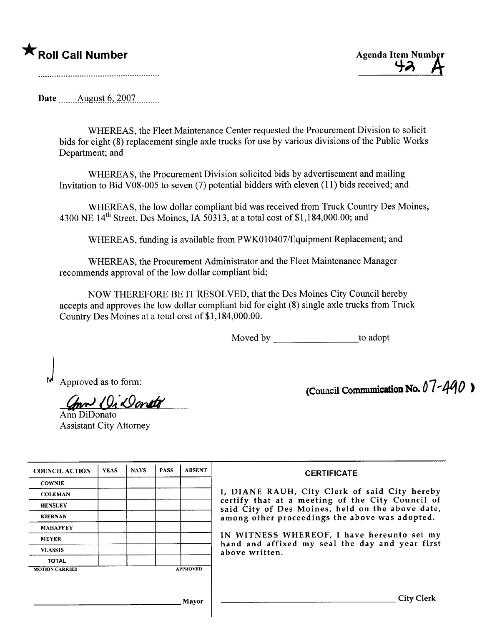## \* Roll Call Number Agenda Item Number

Date  $\frac{\text{August 6, 2007}}{\text{August 6, 2007}}$ 

WHEREAS, the Fleet Maintenance Center requested the Procurement Division to solicit bids for eight (8) replacement single axle trucks for use by various divisions of the Public Works Department; and

WHEREAS, the Procurement Division solicited bids by advertisement and mailing Invitation to Bid V08-005 to seven (7) potential bidders with eleven (11) bids received; and

WHEREAS, the low dollar compliant bid was received from Truck Country Des Moines, 4300 NE  $14^{th}$  Street, Des Moines, IA 50313, at a total cost of \$1,184,000.00; and

WHEREAS, funding is available from PWKOI0407/Equipment Replacement; and

WHEREAS, the Procurement Administrator and the Fleet Maintenance Manager recommends approval of the low dollar compliant bid;

NOW THEREFORE BE IT RESOLVED, that the Des Moines City Council hereby accepts and approves the low dollar compliant bid for eight (8) single axle trucks from Truck Country Des Moines at a total cost of\$I,184,000.00.

Moved by to adopt

Approved as to form:

(mm) (On Donato

Assistant City Attorney

(Council Communication No.  $07 - 4400$ )

| <b>COUNCIL ACTION</b> | <b>YEAS</b> | <b>NAYS</b> | <b>PASS</b> | <b>ABSENT</b>   |                         |
|-----------------------|-------------|-------------|-------------|-----------------|-------------------------|
| <b>COWNIE</b>         |             |             |             |                 |                         |
| <b>COLEMAN</b>        |             |             |             |                 | I, DIANE                |
| <b>HENSLEY</b>        |             |             |             |                 | certify th<br>said City |
| <b>KIERNAN</b>        |             |             |             |                 | among ot                |
| <b>MAHAFFEY</b>       |             |             |             |                 |                         |
| <b>MEYER</b>          |             |             |             |                 | IN WITN                 |
| <b>VLASSIS</b>        |             |             |             |                 | hand and<br>above wr    |
| <b>TOTAL</b>          |             |             |             |                 |                         |
| <b>MOTION CARRIED</b> |             |             |             | <b>APPROVED</b> |                         |

### **CERTIFICATE**

E RAUH, City Clerk of said City hereby certify that at a meeting of the City Council of said City of Des Moines, held on the above date, her proceedings the above was adopted.

ESS WHEREOF, I have hereunto set my l affixed my seal the day and year first itten.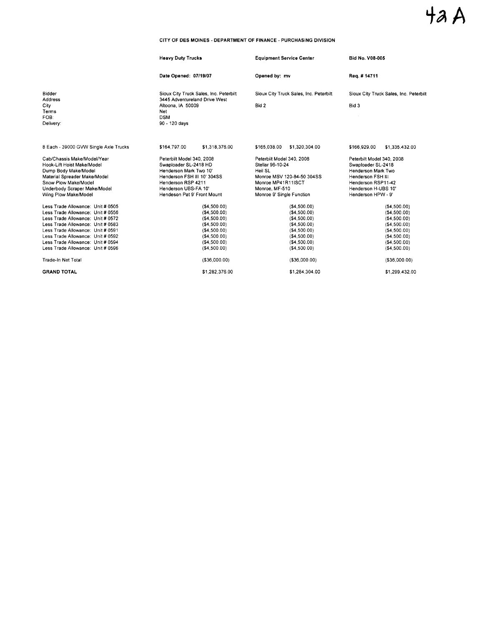# 4a A

#### CITY OF DES MOINES - DEPARTMENT OF FINANCE - PURCHASING DIVISION

|                                                                        | <b>Heavy Duty Trucks</b>                                                |                               |                                                  | <b>Equipment Service Center</b>        |                                           | <b>Bid No. V08-005</b>                 |  |
|------------------------------------------------------------------------|-------------------------------------------------------------------------|-------------------------------|--------------------------------------------------|----------------------------------------|-------------------------------------------|----------------------------------------|--|
|                                                                        | Date Opened: 07/19/07                                                   |                               | Opened by: mv                                    |                                        | Reg. #14711                               |                                        |  |
| Bidder<br><b>Address</b>                                               | Sioux City Truck Sales, Inc. Peterbilt<br>3445 Adventureland Drive West |                               |                                                  | Sioux City Truck Sales, Inc. Peterbilt |                                           | Sioux City Truck Sales, Inc. Peterbilt |  |
| City<br>Terms<br>FOB:<br>Delivery:                                     | Altoona, IA 50009<br>Net<br><b>DSM</b><br>90 - 120 days                 |                               | Bid 2                                            |                                        | Bid 3                                     |                                        |  |
| 8 Each - 39000 GVW Single Axle Trucks                                  | \$164,797.00                                                            | \$1,318,376.00                | \$165,038.00                                     | \$1,320,304.00                         | \$166,929.00                              | \$1,335.432.00                         |  |
| Cab/Chassis Make/Model/Year                                            | Peterbilt Model 340, 2008                                               |                               | Peterbilt Model 340, 2008                        |                                        | Peterbilt Model 340, 2008                 |                                        |  |
| Hook-Lift Hoist Make/Model                                             | Swaploader SL-2418 HD                                                   |                               | Stellar 96-10-24                                 |                                        | Swaploader SL-2418                        |                                        |  |
| Dump Body Make/Model                                                   | Henderson Mark Two 10'                                                  |                               | Heil SL                                          |                                        | Henderson Mark Two                        |                                        |  |
| Material Spreader Make/Model                                           | Henderson FSH III 10' 304SS                                             |                               | Monroe MSV 120-84-50 304SS<br>Monroe MP41R11ISCT |                                        | Henderson FSH III                         |                                        |  |
| Snow Plow Make/Model<br>Underbody Scraper Make/Model                   | Henderson RSP 4211<br>Henderson UBS-FA 10'                              |                               | Monroe, MF-510                                   |                                        | Henderson RSP11-42<br>Henderson H-UBS 10' |                                        |  |
| Wing Plow Make/Model                                                   | Hendeson Pat 9' Front Mount                                             |                               | Monroe 9' Single Function                        |                                        | Henderson HPW - 9'                        |                                        |  |
| Less Trade Allowance: Unit # 0505                                      |                                                                         | (\$4,500.00)                  |                                                  | ( \$4,500.00)                          |                                           | (\$4,500.00)                           |  |
| Less Trade Allowance: Unit # 0556                                      |                                                                         | ( \$4,500.00)                 |                                                  | ( \$4,500.00)                          |                                           | (\$4,500.00)                           |  |
| Less Trade Allowance: Unit # 0572                                      |                                                                         | (\$4,500.00)                  |                                                  | (\$4,500.00)                           |                                           | ( \$4,500.00)                          |  |
| Less Trade Allowance: Unit # 0583                                      |                                                                         | ( \$4,500.00)                 |                                                  | ( \$4,500.00)                          |                                           | (\$4,500.00)                           |  |
| Less Trade Allowance: Unit # 0591                                      |                                                                         | ( \$4,500.00)                 |                                                  | (S4, 500.00)                           |                                           | (\$4,500.00)                           |  |
| Less Trade Allowance: Unit # 0592<br>Less Trade Allowance: Unit # 0594 |                                                                         | ( \$4,500.00)<br>(\$4,500.00) |                                                  | ( \$4,500.00)<br>( \$4,500.00)         |                                           | (\$4,500.00)<br>( \$4,500.00)          |  |
| Less Trade Allowance: Unit # 0596                                      |                                                                         | ( \$4,500.00)                 |                                                  | ( \$4,500.00)                          |                                           | ( \$4,500.00)                          |  |
| Trade-In Net Total                                                     |                                                                         | ( \$36,000.00)                |                                                  | ( \$36,000.00)                         |                                           | (\$36,000.00)                          |  |
| <b>GRAND TOTAL</b>                                                     |                                                                         | \$1,282,376.00                |                                                  | \$1,284,304.00                         |                                           | \$1,299,432.00                         |  |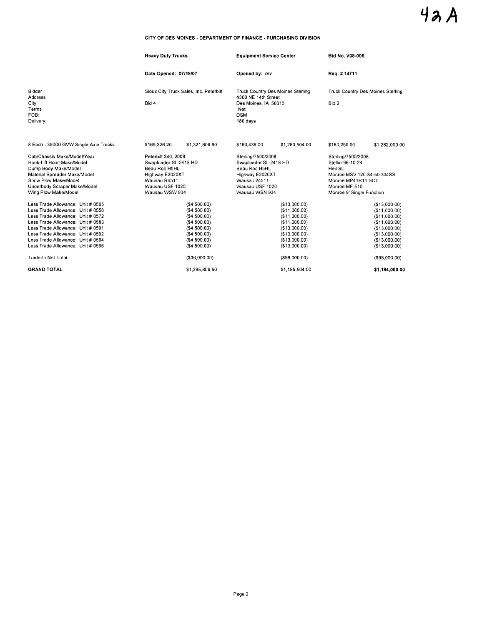#### CITY OF DES MOINES - DEPARTMENT OF FINANCE - PURCHASING DIVISION

|                                       |                 | <b>Heavy Duty Trucks</b>               |                                                       | <b>Equipment Service Center</b>                          |                            | <b>Bid No. V08-005</b>            |  |
|---------------------------------------|-----------------|----------------------------------------|-------------------------------------------------------|----------------------------------------------------------|----------------------------|-----------------------------------|--|
|                                       |                 | Date Opened: 07/19/07                  |                                                       | Opened by: mv                                            |                            | Reg. #14711                       |  |
| Bidder<br>Address                     |                 | Sioux City Truck Sales, Inc. Peterbilt |                                                       | Truck Country Des Moines Sterling<br>4300 NE 14th Street |                            | Truck Country Des Moines Sterling |  |
| City<br>Terms<br>FOB:<br>Delivery:    | Bid 4           |                                        | Des Moines, IA 50313<br>Net<br><b>DSM</b><br>180 days |                                                          | Bid 2                      |                                   |  |
| 8 Each - 39000 GVW Single Axle Trucks | \$165.226.20    | \$1,321,809.60                         | \$160,438.00                                          | \$1,283,504.00                                           | \$160,250.00               | \$1,282,000.00                    |  |
| Cab/Chassis Make/Model/Year           |                 | Peterbilt 340, 2008                    |                                                       | Sterling/7500/2008                                       |                            | Sterling/7500/2008                |  |
| Hook-Lift Hoist Make/Model            |                 | Swaploader SL-2418 HD                  |                                                       | Swaploader SL-2418 HD                                    |                            | Stellar 96-10-24                  |  |
| Dump Body Make/Model                  | Beau Roc H5HL   |                                        | Beau Roc H5HL                                         |                                                          | Heil SL                    |                                   |  |
| Material Spreader Make/Model          | Highway E2020XT |                                        | Highway E2020XT                                       |                                                          | Monroe MSV 120-84-50 304SS |                                   |  |
| Snow Plow Make/Model                  | Wausau R4511    |                                        | Wausau 24511                                          |                                                          | Monroe MP41R11ISCT         |                                   |  |
| Underbody Scraper Make/Model          | Wausau USF 1020 |                                        | Wausau USF 1020                                       |                                                          | Monroe MF-510              |                                   |  |
| Wing Plow Make/Model                  | Wausau WSW 934  |                                        | Wausau WSN 934                                        |                                                          | Monroe 9' Single Function  |                                   |  |
| Less Trade Allowance: Unit # 0505     |                 | ( \$4,500.00)                          |                                                       | (\$13,000.00)                                            |                            | (\$13,000.00)                     |  |
| Less Trade Allowance: Unit # 0556     |                 | ( \$4,500.00)                          |                                                       | (\$11,000.00)                                            |                            | (\$11,000.00)                     |  |
| Less Trade Allowance: Unit # 0572     |                 | (\$4,500.00)                           |                                                       | (\$11,000.00)                                            |                            | (\$11,000.00)                     |  |
| Less Trade Allowance: Unit # 0583     |                 | ( \$4,500.00)                          |                                                       | (\$11.000.00)                                            |                            | (\$11,000.00)                     |  |
| Less Trade Allowance: Unit # 0591     |                 | ( \$4,500.00)                          |                                                       | (\$13.000.00)                                            |                            | (\$13,000.00)                     |  |
| Less Trade Allowance: Unit # 0592     |                 | ( \$4,500.00)                          |                                                       | (S13,000.00)                                             |                            | (\$13,000.00)                     |  |
| Less Trade Allowance: Unit # 0594     |                 | (\$4,500.00)                           |                                                       | (\$13,000.00)                                            |                            | (\$13,000.00)                     |  |
| Less Trade Allowance: Unit # 0596     |                 | (\$4,500.00)                           |                                                       | (\$13,000.00)                                            |                            | (\$13,000.00)                     |  |
| Trade-In Net Total                    |                 | ( \$36,000.00)                         |                                                       | $($ \$98,000.00)                                         |                            | ( \$98,000.00)                    |  |
| <b>GRAND TOTAL</b>                    |                 | \$1,285,809.60                         |                                                       | \$1.185.504.00                                           |                            | \$1,184,000.00                    |  |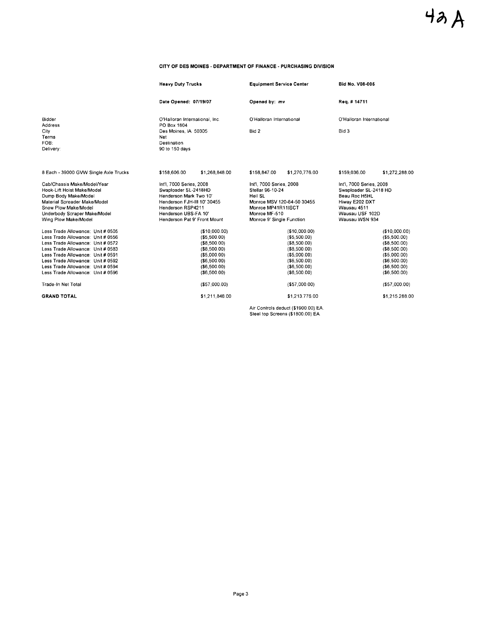#### CITY OF DES MOINES. DEPARTMENT OF FINANCE. PURCHASING DIVISION

|                                                                                                                                                                                                                                                                                                      | <b>Heavy Duty Trucks</b>                                                                                                                                                                      |                                                                                                                                    |                                                                                                                                                           | <b>Equipment Service Center</b>                                                                                                     |                                                                                                                                          | <b>Bid No. V08-005</b>                                                                                                            |  |
|------------------------------------------------------------------------------------------------------------------------------------------------------------------------------------------------------------------------------------------------------------------------------------------------------|-----------------------------------------------------------------------------------------------------------------------------------------------------------------------------------------------|------------------------------------------------------------------------------------------------------------------------------------|-----------------------------------------------------------------------------------------------------------------------------------------------------------|-------------------------------------------------------------------------------------------------------------------------------------|------------------------------------------------------------------------------------------------------------------------------------------|-----------------------------------------------------------------------------------------------------------------------------------|--|
|                                                                                                                                                                                                                                                                                                      | Date Opened: 07/19/07                                                                                                                                                                         |                                                                                                                                    | Opened by: mv                                                                                                                                             |                                                                                                                                     | Reg. # 14711                                                                                                                             |                                                                                                                                   |  |
| Bidder<br>Address                                                                                                                                                                                                                                                                                    | O'Halloran International, Inc.                                                                                                                                                                |                                                                                                                                    | O'Halloran International                                                                                                                                  |                                                                                                                                     | O'Halloran International                                                                                                                 |                                                                                                                                   |  |
| City<br>Terms<br>FOB:<br>Delivery:                                                                                                                                                                                                                                                                   | PO Box 1804<br>Des Moines, IA 50305<br>Net<br>Destination<br>90 to 150 days                                                                                                                   |                                                                                                                                    | Bid 2                                                                                                                                                     |                                                                                                                                     | Bid 3                                                                                                                                    |                                                                                                                                   |  |
| 8 Each - 39000 GVW Single Axle Trucks                                                                                                                                                                                                                                                                | \$158,606.00                                                                                                                                                                                  | \$1,268,848.00                                                                                                                     | \$158,847.00                                                                                                                                              | \$1,270,776.00                                                                                                                      | \$159,036.00                                                                                                                             | \$1,272,288.00                                                                                                                    |  |
| Cab/Chassis Make/Model/Year<br>Hook-Lift Hoist Make/Model<br>Dump Body Make/Model<br>Material Spreader Make/Model<br>Snow Plow Make/Model<br>Underbody Scraper Make/Model<br>Wing Plow Make/Model                                                                                                    | Int'l. 7000 Series, 2008<br>Swaploader SL-2418HD<br>Henderson Mark Two 10'<br>Henderson FJH-III 10' 30455<br><b>Henderson RSP4211</b><br>Henderson UBS-FA 10'<br>Henderson Pat 9' Front Mount |                                                                                                                                    | Int'l, 7000 Series, 2008<br>Stellar 96-10-24<br>Heil SL<br>Monroe MSV 120-84-50 30455<br>Monroe MP41R11ISCT<br>Monroe MF-510<br>Monroe 9' Single Function |                                                                                                                                     | Int'l, 7000 Series, 2008<br>Swaploader SL-2418 HD<br>Beau Roc H5HL<br>Hiway E202 DXT<br>Wausau 4511<br>Wausau USF 102D<br>Wausau WSN 934 |                                                                                                                                   |  |
| Less Trade Allowance: Unit # 0505<br>Less Trade Allowance: Unit # 0556<br>Less Trade Allowance: Unit # 0572<br>Less Trade Allowance: Unit # 0583<br>Less Trade Allowance: Unit # 0591<br>Less Trade Allowance: Unit # 0592<br>Less Trade Allowance: Unit # 0594<br>Less Trade Allowance: Unit # 0596 |                                                                                                                                                                                               | (\$10,000.00)<br>( \$5,500.00)<br>(\$8,500.00)<br>(\$8,500.00)<br>( \$5,000.00)<br>( \$6,500.00)<br>( \$6,500.00)<br>( \$6,500.00) |                                                                                                                                                           | (\$10,000.00)<br>( \$5,500.00)<br>(\$8,500.00)<br>( \$8,500.00)<br>( \$5,000.00)<br>( \$6,500.00)<br>( \$6,500.00)<br>( \$6,500.00) |                                                                                                                                          | (\$10,000.00)<br>(\$5,500.00)<br>( \$8,500.00)<br>(\$8,500.00)<br>( \$5,000.00)<br>( \$6,500.00)<br>( \$6,500.00)<br>(\$6,500.00) |  |
| Trade-In Net Total                                                                                                                                                                                                                                                                                   | (\$57,000.00)                                                                                                                                                                                 |                                                                                                                                    |                                                                                                                                                           | ( \$57,000.00)                                                                                                                      |                                                                                                                                          | (\$57,000.00)                                                                                                                     |  |
| <b>GRAND TOTAL</b>                                                                                                                                                                                                                                                                                   |                                                                                                                                                                                               | \$1,211,848.00                                                                                                                     |                                                                                                                                                           | \$1,213,776.00                                                                                                                      |                                                                                                                                          | \$1,215.288.00                                                                                                                    |  |

Air Controls deduct (\$1900.00) EA Steel top Screens (\$1800.00) EA